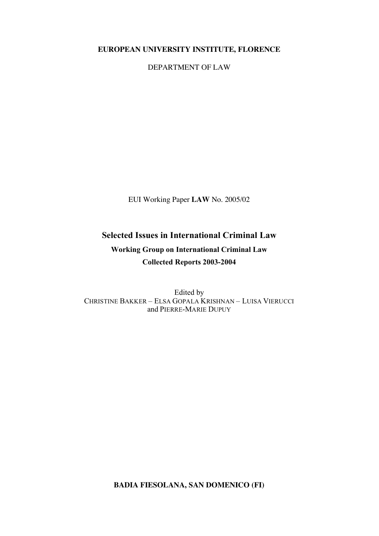### **EUROPEAN UNIVERSITY INSTITUTE, FLORENCE**

DEPARTMENT OF LAW

EUI Working Paper **LAW** No. 2005/02

# **Selected Issues in International Criminal Law Working Group on International Criminal Law Collected Reports 2003-2004**

Edited by CHRISTINE BAKKER – ELSA GOPALA KRISHNAN – LUISA VIERUCCI and PIERRE-MARIE DUPUY

**BADIA FIESOLANA, SAN DOMENICO (FI)**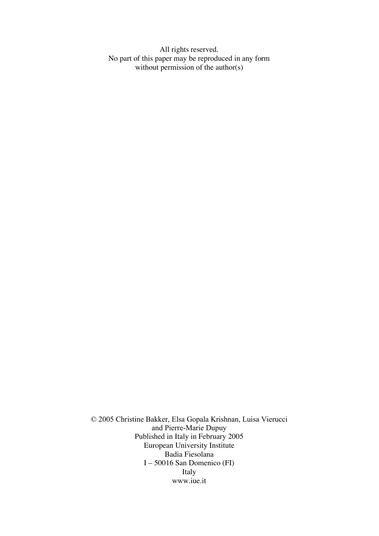All rights reserved. No part of this paper may be reproduced in any form without permission of the author(s)

© 2005 Christine Bakker, Elsa Gopala Krishnan, Luisa Vierucci and Pierre-Marie Dupuy Published in Italy in February 2005 European University Institute Badia Fiesolana I – 50016 San Domenico (FI) Italy www.iue.it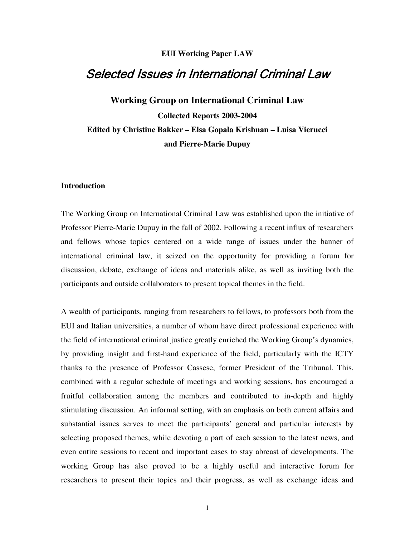### **EUI Working Paper LAW**

## **Selected Issues in International Criminal Law**

**Working Group on International Criminal Law Collected Reports 2003-2004 Edited by Christine Bakker – Elsa Gopala Krishnan – Luisa Vierucci and Pierre-Marie Dupuy**

#### **Introduction**

The Working Group on International Criminal Law was established upon the initiative of Professor Pierre-Marie Dupuy in the fall of 2002. Following a recent influx of researchers and fellows whose topics centered on a wide range of issues under the banner of international criminal law, it seized on the opportunity for providing a forum for discussion, debate, exchange of ideas and materials alike, as well as inviting both the participants and outside collaborators to present topical themes in the field.

A wealth of participants, ranging from researchers to fellows, to professors both from the EUI and Italian universities, a number of whom have direct professional experience with the field of international criminal justice greatly enriched the Working Group's dynamics, by providing insight and first-hand experience of the field, particularly with the ICTY thanks to the presence of Professor Cassese, former President of the Tribunal. This, combined with a regular schedule of meetings and working sessions, has encouraged a fruitful collaboration among the members and contributed to in-depth and highly stimulating discussion. An informal setting, with an emphasis on both current affairs and substantial issues serves to meet the participants' general and particular interests by selecting proposed themes, while devoting a part of each session to the latest news, and even entire sessions to recent and important cases to stay abreast of developments. The working Group has also proved to be a highly useful and interactive forum for researchers to present their topics and their progress, as well as exchange ideas and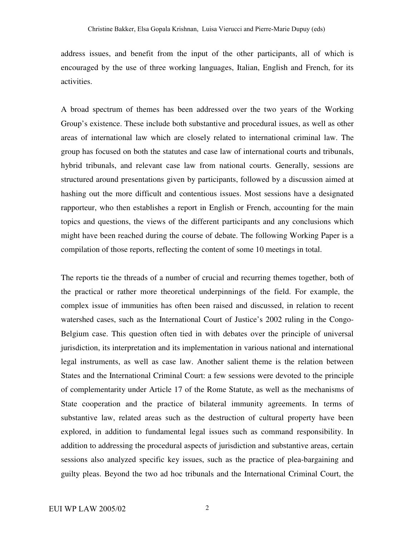address issues, and benefit from the input of the other participants, all of which is encouraged by the use of three working languages, Italian, English and French, for its activities.

A broad spectrum of themes has been addressed over the two years of the Working Group's existence. These include both substantive and procedural issues, as well as other areas of international law which are closely related to international criminal law. The group has focused on both the statutes and case law of international courts and tribunals, hybrid tribunals, and relevant case law from national courts. Generally, sessions are structured around presentations given by participants, followed by a discussion aimed at hashing out the more difficult and contentious issues. Most sessions have a designated rapporteur, who then establishes a report in English or French, accounting for the main topics and questions, the views of the different participants and any conclusions which might have been reached during the course of debate. The following Working Paper is a compilation of those reports, reflecting the content of some 10 meetings in total.

The reports tie the threads of a number of crucial and recurring themes together, both of the practical or rather more theoretical underpinnings of the field. For example, the complex issue of immunities has often been raised and discussed, in relation to recent watershed cases, such as the International Court of Justice's 2002 ruling in the Congo-Belgium case. This question often tied in with debates over the principle of universal jurisdiction, its interpretation and its implementation in various national and international legal instruments, as well as case law. Another salient theme is the relation between States and the International Criminal Court: a few sessions were devoted to the principle of complementarity under Article 17 of the Rome Statute, as well as the mechanisms of State cooperation and the practice of bilateral immunity agreements. In terms of substantive law, related areas such as the destruction of cultural property have been explored, in addition to fundamental legal issues such as command responsibility. In addition to addressing the procedural aspects of jurisdiction and substantive areas, certain sessions also analyzed specific key issues, such as the practice of plea-bargaining and guilty pleas. Beyond the two ad hoc tribunals and the International Criminal Court, the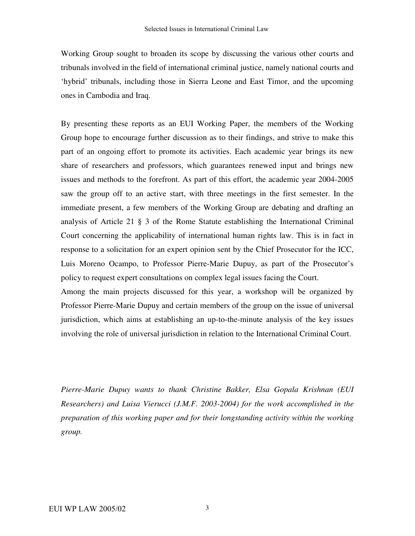Working Group sought to broaden its scope by discussing the various other courts and tribunals involved in the field of international criminal justice, namely national courts and 'hybrid' tribunals, including those in Sierra Leone and East Timor, and the upcoming ones in Cambodia and Iraq.

By presenting these reports as an EUI Working Paper, the members of the Working Group hope to encourage further discussion as to their findings, and strive to make this part of an ongoing effort to promote its activities. Each academic year brings its new share of researchers and professors, which guarantees renewed input and brings new issues and methods to the forefront. As part of this effort, the academic year 2004-2005 saw the group off to an active start, with three meetings in the first semester. In the immediate present, a few members of the Working Group are debating and drafting an analysis of Article 21 § 3 of the Rome Statute establishing the International Criminal Court concerning the applicability of international human rights law. This is in fact in response to a solicitation for an expert opinion sent by the Chief Prosecutor for the ICC, Luis Moreno Ocampo, to Professor Pierre-Marie Dupuy, as part of the Prosecutor's policy to request expert consultations on complex legal issues facing the Court.

Among the main projects discussed for this year, a workshop will be organized by Professor Pierre-Marie Dupuy and certain members of the group on the issue of universal jurisdiction, which aims at establishing an up-to-the-minute analysis of the key issues involving the role of universal jurisdiction in relation to the International Criminal Court.

*Pierre-Marie Dupuy wants to thank Christine Bakker, Elsa Gopala Krishnan (EUI Researchers) and Luisa Vierucci (J.M.F. 2003-2004) for the work accomplished in the preparation of this working paper and for their longstanding activity within the working group.*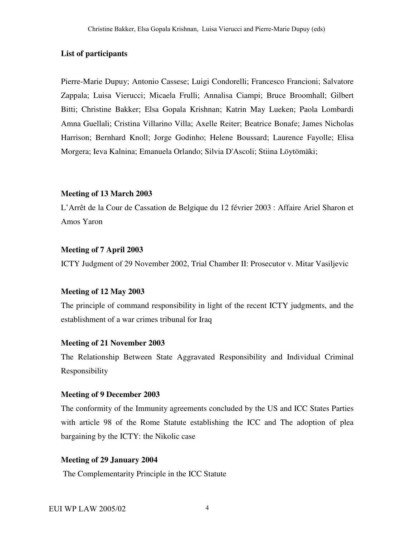### **List of participants**

Pierre-Marie Dupuy; Antonio Cassese; Luigi Condorelli; Francesco Francioni; Salvatore Zappala; Luisa Vierucci; Micaela Frulli; Annalisa Ciampi; Bruce Broomhall; Gilbert Bitti; Christine Bakker; Elsa Gopala Krishnan; Katrin May Lueken; Paola Lombardi Amna Guellali; Cristina Villarino Villa; Axelle Reiter; Beatrice Bonafe; James Nicholas Harrison; Bernhard Knoll; Jorge Godinho; Helene Boussard; Laurence Fayolle; Elisa Morgera; Ieva Kalnina; Emanuela Orlando; Silvia D'Ascoli; Stiina Löytömäki;

#### **Meeting of 13 March 2003**

L'Arrêt de la Cour de Cassation de Belgique du 12 février 2003 : Affaire Ariel Sharon et Amos Yaron

### **Meeting of 7 April 2003**

ICTY Judgment of 29 November 2002, Trial Chamber II: Prosecutor v. Mitar Vasiljevic

#### **Meeting of 12 May 2003**

The principle of command responsibility in light of the recent ICTY judgments, and the establishment of a war crimes tribunal for Iraq

### **Meeting of 21 November 2003**

The Relationship Between State Aggravated Responsibility and Individual Criminal Responsibility

### **Meeting of 9 December 2003**

The conformity of the Immunity agreements concluded by the US and ICC States Parties with article 98 of the Rome Statute establishing the ICC and The adoption of plea bargaining by the ICTY: the Nikolic case

### **Meeting of 29 January 2004**

The Complementarity Principle in the ICC Statute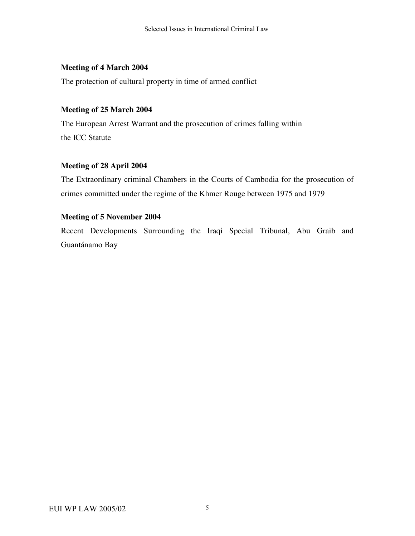### **Meeting of 4 March 2004**

The protection of cultural property in time of armed conflict

### **Meeting of 25 March 2004**

The European Arrest Warrant and the prosecution of crimes falling within the ICC Statute

### **Meeting of 28 April 2004**

The Extraordinary criminal Chambers in the Courts of Cambodia for the prosecution of crimes committed under the regime of the Khmer Rouge between 1975 and 1979

### **Meeting of 5 November 2004**

Recent Developments Surrounding the Iraqi Special Tribunal, Abu Graib and Guantánamo Bay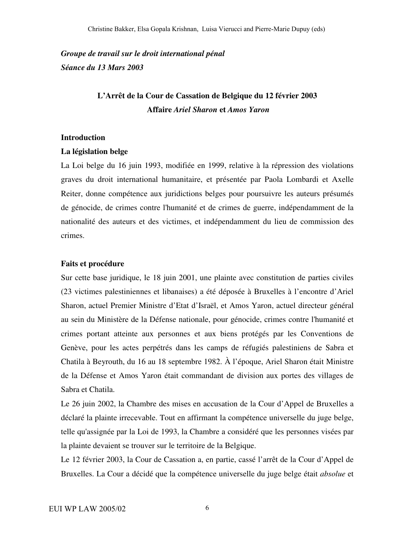*Groupe de travail sur le droit international pénal Séance du 13 Mars 2003*

## **L'Arrêt de la Cour de Cassation de Belgique du 12 février 2003 Affaire** *Ariel Sharon* **et** *Amos Yaron*

### **Introduction**

#### **La législation belge**

La Loi belge du 16 juin 1993, modifiée en 1999, relative à la répression des violations graves du droit international humanitaire, et présentée par Paola Lombardi et Axelle Reiter, donne compétence aux juridictions belges pour poursuivre les auteurs présumés de génocide, de crimes contre l'humanité et de crimes de guerre, indépendamment de la nationalité des auteurs et des victimes, et indépendamment du lieu de commission des crimes.

### **Faits et procédure**

Sur cette base juridique, le 18 juin 2001, une plainte avec constitution de parties civiles (23 victimes palestiniennes et libanaises) a été déposée à Bruxelles à l'encontre d'Ariel Sharon, actuel Premier Ministre d'Etat d'Israël, et Amos Yaron, actuel directeur général au sein du Ministère de la Défense nationale, pour génocide, crimes contre l'humanité et crimes portant atteinte aux personnes et aux biens protégés par les Conventions de Genève, pour les actes perpétrés dans les camps de réfugiés palestiniens de Sabra et Chatila à Beyrouth, du 16 au 18 septembre 1982. À l'époque, Ariel Sharon était Ministre de la Défense et Amos Yaron était commandant de division aux portes des villages de Sabra et Chatila.

Le 26 juin 2002, la Chambre des mises en accusation de la Cour d'Appel de Bruxelles a déclaré la plainte irrecevable. Tout en affirmant la compétence universelle du juge belge, telle qu'assignée par la Loi de 1993, la Chambre a considéré que les personnes visées par la plainte devaient se trouver sur le territoire de la Belgique.

Le 12 février 2003, la Cour de Cassation a, en partie, cassé l'arrêt de la Cour d'Appel de Bruxelles. La Cour a décidé que la compétence universelle du juge belge était *absolue* et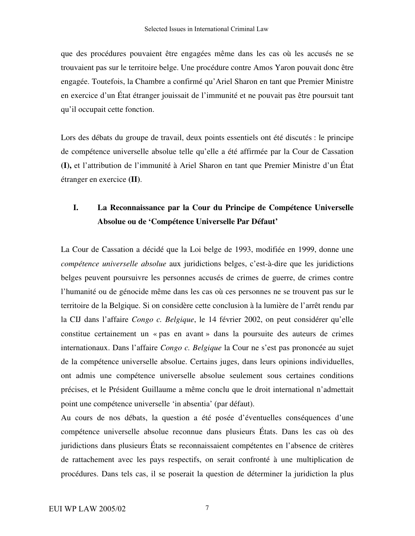que des procédures pouvaient être engagées même dans les cas où les accusés ne se trouvaient pas sur le territoire belge. Une procédure contre Amos Yaron pouvait donc être engagée. Toutefois, la Chambre a confirmé qu'Ariel Sharon en tant que Premier Ministre en exercice d'un État étranger jouissait de l'immunité et ne pouvait pas être poursuit tant qu'il occupait cette fonction.

Lors des débats du groupe de travail, deux points essentiels ont été discutés : le principe de compétence universelle absolue telle qu'elle a été affirmée par la Cour de Cassation **(I),** et l'attribution de l'immunité à Ariel Sharon en tant que Premier Ministre d'un État étranger en exercice **(II)**.

## **I. La Reconnaissance par la Cour du Principe de Compétence Universelle Absolue ou de 'Compétence Universelle Par Défaut'**

La Cour de Cassation a décidé que la Loi belge de 1993, modifiée en 1999, donne une *compétence universelle absolue* aux juridictions belges, c'est-à-dire que les juridictions belges peuvent poursuivre les personnes accusés de crimes de guerre, de crimes contre l'humanité ou de génocide même dans les cas où ces personnes ne se trouvent pas sur le territoire de la Belgique. Si on considère cette conclusion à la lumière de l'arrêt rendu par la CIJ dans l'affaire *Congo c. Belgique*, le 14 février 2002, on peut considérer qu'elle constitue certainement un « pas en avant » dans la poursuite des auteurs de crimes internationaux. Dans l'affaire *Congo c. Belgique* la Cour ne s'est pas prononcée au sujet de la compétence universelle absolue. Certains juges, dans leurs opinions individuelles, ont admis une compétence universelle absolue seulement sous certaines conditions précises, et le Président Guillaume a même conclu que le droit international n'admettait point une compétence universelle 'in absentia' (par défaut).

Au cours de nos débats, la question a été posée d'éventuelles conséquences d'une compétence universelle absolue reconnue dans plusieurs États. Dans les cas où des juridictions dans plusieurs États se reconnaissaient compétentes en l'absence de critères de rattachement avec les pays respectifs, on serait confronté à une multiplication de procédures. Dans tels cas, il se poserait la question de déterminer la juridiction la plus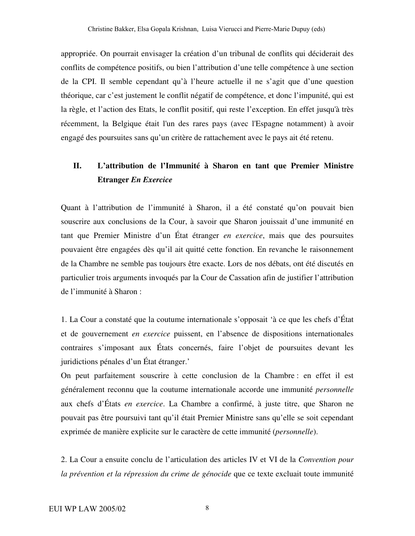appropriée. On pourrait envisager la création d'un tribunal de conflits qui déciderait des conflits de compétence positifs, ou bien l'attribution d'une telle compétence à une section de la CPI. Il semble cependant qu'à l'heure actuelle il ne s'agit que d'une question théorique, car c'est justement le conflit négatif de compétence, et donc l'impunité, qui est la règle, et l'action des Etats, le conflit positif, qui reste l'exception. En effet jusqu'à très récemment, la Belgique était l'un des rares pays (avec l'Espagne notamment) à avoir engagé des poursuites sans qu'un critère de rattachement avec le pays ait été retenu.

## **II. L'attribution de l'Immunité à Sharon en tant que Premier Ministre Etranger** *En Exercice*

Quant à l'attribution de l'immunité à Sharon, il a été constaté qu'on pouvait bien souscrire aux conclusions de la Cour, à savoir que Sharon jouissait d'une immunité en tant que Premier Ministre d'un État étranger *en exercice*, mais que des poursuites pouvaient être engagées dès qu'il ait quitté cette fonction. En revanche le raisonnement de la Chambre ne semble pas toujours être exacte. Lors de nos débats, ont été discutés en particulier trois arguments invoqués par la Cour de Cassation afin de justifier l'attribution de l'immunité à Sharon :

1. La Cour a constaté que la coutume internationale s'opposait 'à ce que les chefs d'État et de gouvernement *en exercice* puissent, en l'absence de dispositions internationales contraires s'imposant aux États concernés, faire l'objet de poursuites devant les juridictions pénales d'un État étranger.'

On peut parfaitement souscrire à cette conclusion de la Chambre : en effet il est généralement reconnu que la coutume internationale accorde une immunité *personnelle* aux chefs d'États *en exercice*. La Chambre a confirmé, à juste titre, que Sharon ne pouvait pas être poursuivi tant qu'il était Premier Ministre sans qu'elle se soit cependant exprimée de manière explicite sur le caractère de cette immunité (*personnelle*).

2. La Cour a ensuite conclu de l'articulation des articles IV et VI de la *Convention pour la prévention et la répression du crime de génocide* que ce texte excluait toute immunité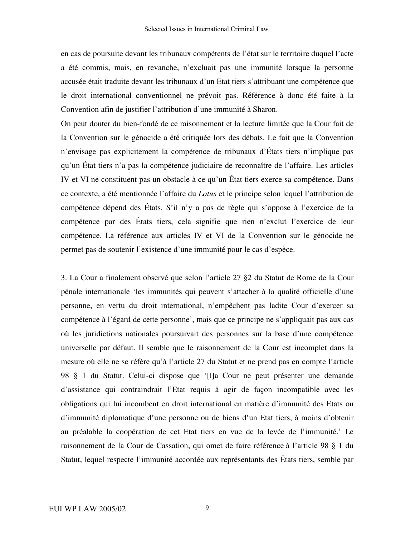en cas de poursuite devant les tribunaux compétents de l'état sur le territoire duquel l'acte a été commis, mais, en revanche, n'excluait pas une immunité lorsque la personne accusée était traduite devant les tribunaux d'un Etat tiers s'attribuant une compétence que le droit international conventionnel ne prévoit pas. Référence à donc été faite à la Convention afin de justifier l'attribution d'une immunité à Sharon.

On peut douter du bien-fondé de ce raisonnement et la lecture limitée que la Cour fait de la Convention sur le génocide a été critiquée lors des débats. Le fait que la Convention n'envisage pas explicitement la compétence de tribunaux d'États tiers n'implique pas qu'un État tiers n'a pas la compétence judiciaire de reconnaître de l'affaire. Les articles IV et VI ne constituent pas un obstacle à ce qu'un État tiers exerce sa compétence. Dans ce contexte, a été mentionnée l'affaire du *Lotus* et le principe selon lequel l'attribution de compétence dépend des États. S'il n'y a pas de règle qui s'oppose à l'exercice de la compétence par des États tiers, cela signifie que rien n'exclut l'exercice de leur compétence. La référence aux articles IV et VI de la Convention sur le génocide ne permet pas de soutenir l'existence d'une immunité pour le cas d'espèce.

3. La Cour a finalement observé que selon l'article 27 §2 du Statut de Rome de la Cour pénale internationale 'les immunités qui peuvent s'attacher à la qualité officielle d'une personne, en vertu du droit international, n'empêchent pas ladite Cour d'exercer sa compétence à l'égard de cette personne', mais que ce principe ne s'appliquait pas aux cas où les juridictions nationales poursuivait des personnes sur la base d'une compétence universelle par défaut. Il semble que le raisonnement de la Cour est incomplet dans la mesure où elle ne se réfère qu'à l'article 27 du Statut et ne prend pas en compte l'article 98 § 1 du Statut. Celui-ci dispose que '[l]a Cour ne peut présenter une demande d'assistance qui contraindrait l'Etat requis à agir de façon incompatible avec les obligations qui lui incombent en droit international en matière d'immunité des Etats ou d'immunité diplomatique d'une personne ou de biens d'un Etat tiers, à moins d'obtenir au préalable la coopération de cet Etat tiers en vue de la levée de l'immunité.' Le raisonnement de la Cour de Cassation, qui omet de faire référence à l'article 98 § 1 du Statut, lequel respecte l'immunité accordée aux représentants des États tiers, semble par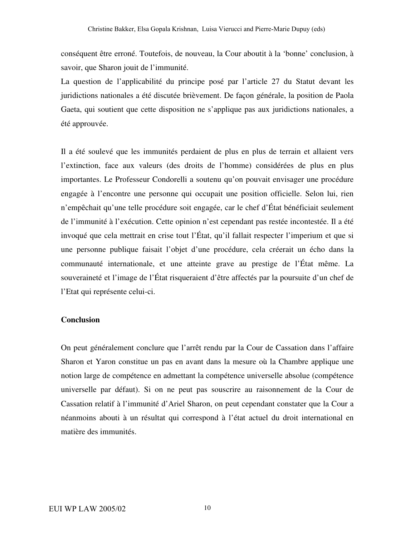conséquent être erroné. Toutefois, de nouveau, la Cour aboutit à la 'bonne' conclusion, à savoir, que Sharon jouit de l'immunité.

La question de l'applicabilité du principe posé par l'article 27 du Statut devant les juridictions nationales a été discutée brièvement. De façon générale, la position de Paola Gaeta, qui soutient que cette disposition ne s'applique pas aux juridictions nationales, a été approuvée.

Il a été soulevé que les immunités perdaient de plus en plus de terrain et allaient vers l'extinction, face aux valeurs (des droits de l'homme) considérées de plus en plus importantes. Le Professeur Condorelli a soutenu qu'on pouvait envisager une procédure engagée à l'encontre une personne qui occupait une position officielle. Selon lui, rien n'empêchait qu'une telle procédure soit engagée, car le chef d'État bénéficiait seulement de l'immunité à l'exécution. Cette opinion n'est cependant pas restée incontestée. Il a été invoqué que cela mettrait en crise tout l'État, qu'il fallait respecter l'imperium et que si une personne publique faisait l'objet d'une procédure, cela créerait un écho dans la communauté internationale, et une atteinte grave au prestige de l'État même. La souveraineté et l'image de l'État risqueraient d'être affectés par la poursuite d'un chef de l'Etat qui représente celui-ci.

### **Conclusion**

On peut généralement conclure que l'arrêt rendu par la Cour de Cassation dans l'affaire Sharon et Yaron constitue un pas en avant dans la mesure où la Chambre applique une notion large de compétence en admettant la compétence universelle absolue (compétence universelle par défaut). Si on ne peut pas souscrire au raisonnement de la Cour de Cassation relatif à l'immunité d'Ariel Sharon, on peut cependant constater que la Cour a néanmoins abouti à un résultat qui correspond à l'état actuel du droit international en matière des immunités.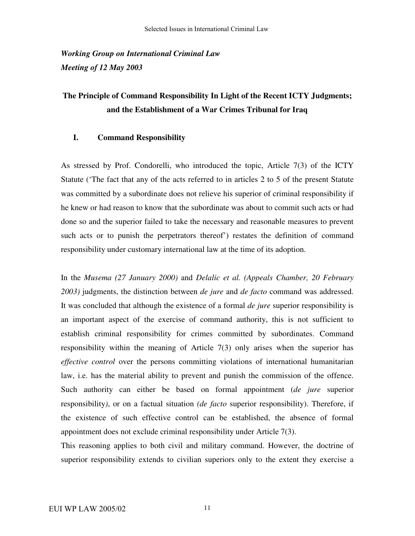*Working Group on International Criminal Law Meeting of 12 May 2003*

## **The Principle of Command Responsibility In Light of the Recent ICTY Judgments; and the Establishment of a War Crimes Tribunal for Iraq**

### **I. Command Responsibility**

As stressed by Prof. Condorelli, who introduced the topic, Article 7(3) of the ICTY Statute ('The fact that any of the acts referred to in articles 2 to 5 of the present Statute was committed by a subordinate does not relieve his superior of criminal responsibility if he knew or had reason to know that the subordinate was about to commit such acts or had done so and the superior failed to take the necessary and reasonable measures to prevent such acts or to punish the perpetrators thereof') restates the definition of command responsibility under customary international law at the time of its adoption.

In the *Musema (27 January 2000)* and *Delalic et al. (Appeals Chamber, 20 February 2003)* judgments, the distinction between *de jure* and *de facto* command was addressed. It was concluded that although the existence of a formal *de jure* superior responsibility is an important aspect of the exercise of command authority, this is not sufficient to establish criminal responsibility for crimes committed by subordinates. Command responsibility within the meaning of Article 7(3) only arises when the superior has *effective control* over the persons committing violations of international humanitarian law, i.e. has the material ability to prevent and punish the commission of the offence. Such authority can either be based on formal appointment (*de jure* superior responsibility*)*, or on a factual situation *(de facto* superior responsibility). Therefore, if the existence of such effective control can be established, the absence of formal appointment does not exclude criminal responsibility under Article 7(3).

This reasoning applies to both civil and military command. However, the doctrine of superior responsibility extends to civilian superiors only to the extent they exercise a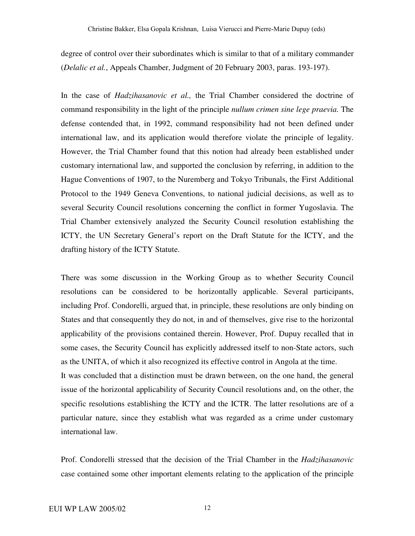degree of control over their subordinates which is similar to that of a military commander (*Delalic et al.*, Appeals Chamber, Judgment of 20 February 2003, paras. 193-197).

In the case of *Hadzihasanovic et al.,* the Trial Chamber considered the doctrine of command responsibility in the light of the principle *nullum crimen sine lege praevia.* The defense contended that, in 1992, command responsibility had not been defined under international law, and its application would therefore violate the principle of legality. However, the Trial Chamber found that this notion had already been established under customary international law, and supported the conclusion by referring, in addition to the Hague Conventions of 1907, to the Nuremberg and Tokyo Tribunals, the First Additional Protocol to the 1949 Geneva Conventions, to national judicial decisions, as well as to several Security Council resolutions concerning the conflict in former Yugoslavia. The Trial Chamber extensively analyzed the Security Council resolution establishing the ICTY, the UN Secretary General's report on the Draft Statute for the ICTY, and the drafting history of the ICTY Statute.

There was some discussion in the Working Group as to whether Security Council resolutions can be considered to be horizontally applicable. Several participants, including Prof. Condorelli, argued that, in principle, these resolutions are only binding on States and that consequently they do not, in and of themselves, give rise to the horizontal applicability of the provisions contained therein. However, Prof. Dupuy recalled that in some cases, the Security Council has explicitly addressed itself to non-State actors, such as the UNITA, of which it also recognized its effective control in Angola at the time. It was concluded that a distinction must be drawn between, on the one hand, the general issue of the horizontal applicability of Security Council resolutions and, on the other, the specific resolutions establishing the ICTY and the ICTR. The latter resolutions are of a particular nature, since they establish what was regarded as a crime under customary international law.

Prof. Condorelli stressed that the decision of the Trial Chamber in the *Hadzihasanovic* case contained some other important elements relating to the application of the principle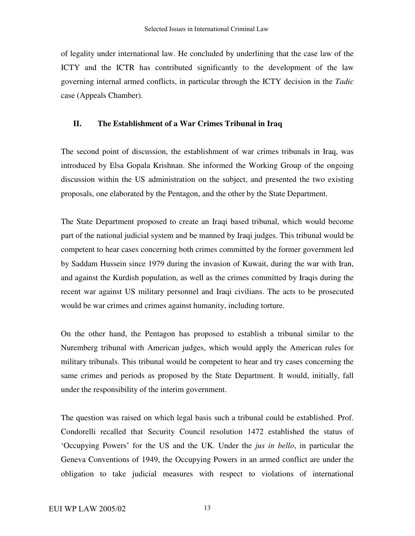of legality under international law. He concluded by underlining that the case law of the ICTY and the ICTR has contributed significantly to the development of the law governing internal armed conflicts, in particular through the ICTY decision in the *Tadic* case (Appeals Chamber).

### **II. The Establishment of a War Crimes Tribunal in Iraq**

The second point of discussion, the establishment of war crimes tribunals in Iraq, was introduced by Elsa Gopala Krishnan. She informed the Working Group of the ongoing discussion within the US administration on the subject, and presented the two existing proposals, one elaborated by the Pentagon, and the other by the State Department.

The State Department proposed to create an Iraqi based tribunal, which would become part of the national judicial system and be manned by Iraqi judges. This tribunal would be competent to hear cases concerning both crimes committed by the former government led by Saddam Hussein since 1979 during the invasion of Kuwait, during the war with Iran, and against the Kurdish population, as well as the crimes committed by Iraqis during the recent war against US military personnel and Iraqi civilians. The acts to be prosecuted would be war crimes and crimes against humanity, including torture.

On the other hand, the Pentagon has proposed to establish a tribunal similar to the Nuremberg tribunal with American judges, which would apply the American rules for military tribunals. This tribunal would be competent to hear and try cases concerning the same crimes and periods as proposed by the State Department. It would, initially, fall under the responsibility of the interim government.

The question was raised on which legal basis such a tribunal could be established. Prof. Condorelli recalled that Security Council resolution 1472 established the status of 'Occupying Powers' for the US and the UK. Under the *jus in bello*, in particular the Geneva Conventions of 1949, the Occupying Powers in an armed conflict are under the obligation to take judicial measures with respect to violations of international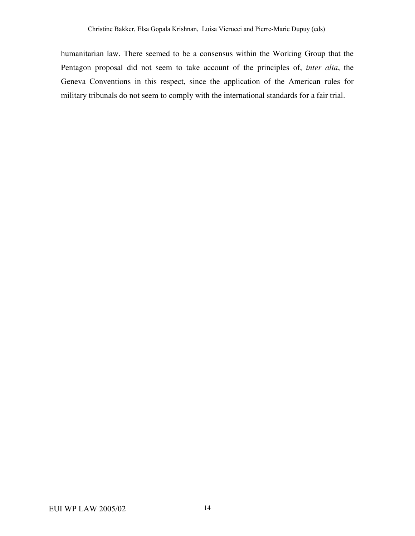humanitarian law. There seemed to be a consensus within the Working Group that the Pentagon proposal did not seem to take account of the principles of, *inter alia*, the Geneva Conventions in this respect, since the application of the American rules for military tribunals do not seem to comply with the international standards for a fair trial.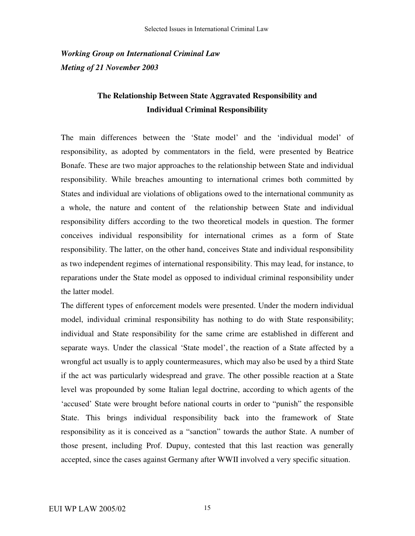*Working Group on International Criminal Law Meting of 21 November 2003*

## **The Relationship Between State Aggravated Responsibility and Individual Criminal Responsibility**

The main differences between the 'State model' and the 'individual model' of responsibility, as adopted by commentators in the field, were presented by Beatrice Bonafe. These are two major approaches to the relationship between State and individual responsibility. While breaches amounting to international crimes both committed by States and individual are violations of obligations owed to the international community as a whole, the nature and content of the relationship between State and individual responsibility differs according to the two theoretical models in question. The former conceives individual responsibility for international crimes as a form of State responsibility. The latter, on the other hand, conceives State and individual responsibility as two independent regimes of international responsibility. This may lead, for instance, to reparations under the State model as opposed to individual criminal responsibility under the latter model.

The different types of enforcement models were presented. Under the modern individual model, individual criminal responsibility has nothing to do with State responsibility; individual and State responsibility for the same crime are established in different and separate ways. Under the classical 'State model', the reaction of a State affected by a wrongful act usually is to apply countermeasures, which may also be used by a third State if the act was particularly widespread and grave. The other possible reaction at a State level was propounded by some Italian legal doctrine, according to which agents of the 'accused' State were brought before national courts in order to "punish" the responsible State. This brings individual responsibility back into the framework of State responsibility as it is conceived as a "sanction" towards the author State. A number of those present, including Prof. Dupuy, contested that this last reaction was generally accepted, since the cases against Germany after WWII involved a very specific situation.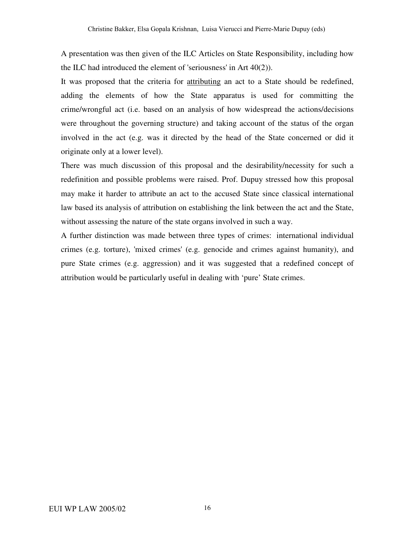A presentation was then given of the ILC Articles on State Responsibility, including how the ILC had introduced the element of 'seriousness'in Art 40(2)).

It was proposed that the criteria for attributing an act to a State should be redefined, adding the elements of how the State apparatus is used for committing the crime/wrongful act (i.e. based on an analysis of how widespread the actions/decisions were throughout the governing structure) and taking account of the status of the organ involved in the act (e.g. was it directed by the head of the State concerned or did it originate only at a lower level).

There was much discussion of this proposal and the desirability/necessity for such a redefinition and possible problems were raised. Prof. Dupuy stressed how this proposal may make it harder to attribute an act to the accused State since classical international law based its analysis of attribution on establishing the link between the act and the State, without assessing the nature of the state organs involved in such a way.

A further distinction was made between three types of crimes: international individual crimes (e.g. torture), 'mixed crimes'(e.g. genocide and crimes against humanity), and pure State crimes (e.g. aggression) and it was suggested that a redefined concept of attribution would be particularly useful in dealing with 'pure' State crimes.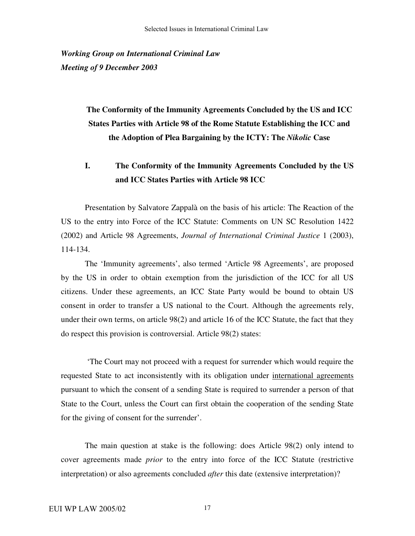*Working Group on International Criminal Law Meeting of 9 December 2003*

> **The Conformity of the Immunity Agreements Concluded by the US and ICC States Parties with Article 98 of the Rome Statute Establishing the ICC and the Adoption of Plea Bargaining by the ICTY: The** *Nikolic* **Case**

## **I. The Conformity of the Immunity Agreements Concluded by the US and ICC States Parties with Article 98 ICC**

Presentation by Salvatore Zappalà on the basis of his article: The Reaction of the US to the entry into Force of the ICC Statute: Comments on UN SC Resolution 1422 (2002) and Article 98 Agreements, *Journal of International Criminal Justice* 1 (2003), 114-134.

The 'Immunity agreements', also termed 'Article 98 Agreements', are proposed by the US in order to obtain exemption from the jurisdiction of the ICC for all US citizens. Under these agreements, an ICC State Party would be bound to obtain US consent in order to transfer a US national to the Court. Although the agreements rely, under their own terms, on article 98(2) and article 16 of the ICC Statute, the fact that they do respect this provision is controversial. Article 98(2) states:

'The Court may not proceed with a request for surrender which would require the requested State to act inconsistently with its obligation under international agreements pursuant to which the consent of a sending State is required to surrender a person of that State to the Court, unless the Court can first obtain the cooperation of the sending State for the giving of consent for the surrender'.

The main question at stake is the following: does Article 98(2) only intend to cover agreements made *prior* to the entry into force of the ICC Statute (restrictive interpretation) or also agreements concluded *after* this date (extensive interpretation)?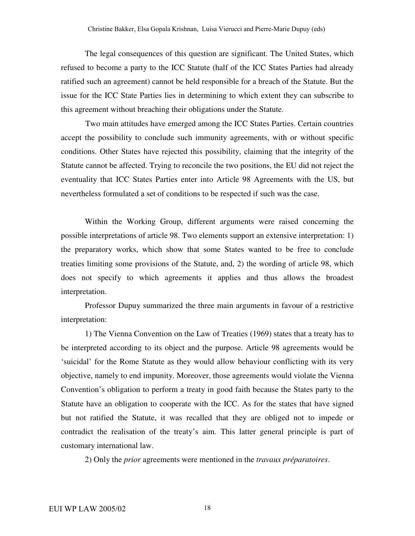The legal consequences of this question are significant. The United States, which refused to become a party to the ICC Statute (half of the ICC States Parties had already ratified such an agreement) cannot be held responsible for a breach of the Statute. But the issue for the ICC State Parties lies in determining to which extent they can subscribe to this agreement without breaching their obligations under the Statute.

Two main attitudes have emerged among the ICC States Parties. Certain countries accept the possibility to conclude such immunity agreements, with or without specific conditions. Other States have rejected this possibility, claiming that the integrity of the Statute cannot be affected. Trying to reconcile the two positions, the EU did not reject the eventuality that ICC States Parties enter into Article 98 Agreements with the US, but nevertheless formulated a set of conditions to be respected if such was the case.

Within the Working Group, different arguments were raised concerning the possible interpretations of article 98. Two elements support an extensive interpretation: 1) the preparatory works, which show that some States wanted to be free to conclude treaties limiting some provisions of the Statute, and, 2) the wording of article 98, which does not specify to which agreements it applies and thus allows the broadest interpretation.

Professor Dupuy summarized the three main arguments in favour of a restrictive interpretation:

1) The Vienna Convention on the Law of Treaties (1969) states that a treaty has to be interpreted according to its object and the purpose. Article 98 agreements would be 'suicidal' for the Rome Statute as they would allow behaviour conflicting with its very objective, namely to end impunity. Moreover, those agreements would violate the Vienna Convention's obligation to perform a treaty in good faith because the States party to the Statute have an obligation to cooperate with the ICC. As for the states that have signed but not ratified the Statute, it was recalled that they are obliged not to impede or contradict the realisation of the treaty's aim. This latter general principle is part of customary international law.

2) Only the *prior* agreements were mentioned in the *travaux préparatoires*.

18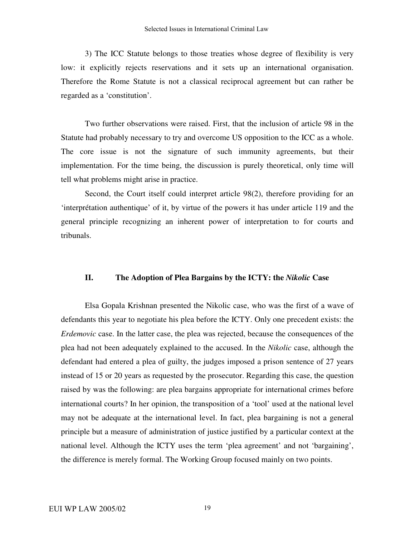3) The ICC Statute belongs to those treaties whose degree of flexibility is very low: it explicitly rejects reservations and it sets up an international organisation. Therefore the Rome Statute is not a classical reciprocal agreement but can rather be regarded as a 'constitution'.

Two further observations were raised. First, that the inclusion of article 98 in the Statute had probably necessary to try and overcome US opposition to the ICC as a whole. The core issue is not the signature of such immunity agreements, but their implementation. For the time being, the discussion is purely theoretical, only time will tell what problems might arise in practice.

Second, the Court itself could interpret article 98(2), therefore providing for an 'interprétation authentique' of it, by virtue of the powers it has under article 119 and the general principle recognizing an inherent power of interpretation to for courts and tribunals.

### **II. The Adoption of Plea Bargains by the ICTY: the** *Nikolic* **Case**

Elsa Gopala Krishnan presented the Nikolic case, who was the first of a wave of defendants this year to negotiate his plea before the ICTY. Only one precedent exists: the *Erdemovic* case. In the latter case, the plea was rejected, because the consequences of the plea had not been adequately explained to the accused. In the *Nikolic* case, although the defendant had entered a plea of guilty, the judges imposed a prison sentence of 27 years instead of 15 or 20 years as requested by the prosecutor. Regarding this case, the question raised by was the following: are plea bargains appropriate for international crimes before international courts? In her opinion, the transposition of a 'tool' used at the national level may not be adequate at the international level. In fact, plea bargaining is not a general principle but a measure of administration of justice justified by a particular context at the national level. Although the ICTY uses the term 'plea agreement' and not 'bargaining', the difference is merely formal. The Working Group focused mainly on two points.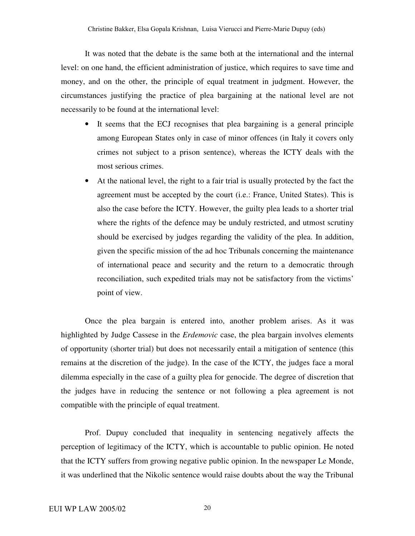It was noted that the debate is the same both at the international and the internal level: on one hand, the efficient administration of justice, which requires to save time and money, and on the other, the principle of equal treatment in judgment. However, the circumstances justifying the practice of plea bargaining at the national level are not necessarily to be found at the international level:

- It seems that the ECJ recognises that plea bargaining is a general principle among European States only in case of minor offences (in Italy it covers only crimes not subject to a prison sentence), whereas the ICTY deals with the most serious crimes.
- At the national level, the right to a fair trial is usually protected by the fact the agreement must be accepted by the court (i.e.: France, United States). This is also the case before the ICTY. However, the guilty plea leads to a shorter trial where the rights of the defence may be unduly restricted, and utmost scrutiny should be exercised by judges regarding the validity of the plea. In addition, given the specific mission of the ad hoc Tribunals concerning the maintenance of international peace and security and the return to a democratic through reconciliation, such expedited trials may not be satisfactory from the victims' point of view.

Once the plea bargain is entered into, another problem arises. As it was highlighted by Judge Cassese in the *Erdemovic* case, the plea bargain involves elements of opportunity (shorter trial) but does not necessarily entail a mitigation of sentence (this remains at the discretion of the judge). In the case of the ICTY, the judges face a moral dilemma especially in the case of a guilty plea for genocide. The degree of discretion that the judges have in reducing the sentence or not following a plea agreement is not compatible with the principle of equal treatment.

Prof. Dupuy concluded that inequality in sentencing negatively affects the perception of legitimacy of the ICTY, which is accountable to public opinion. He noted that the ICTY suffers from growing negative public opinion. In the newspaper Le Monde, it was underlined that the Nikolic sentence would raise doubts about the way the Tribunal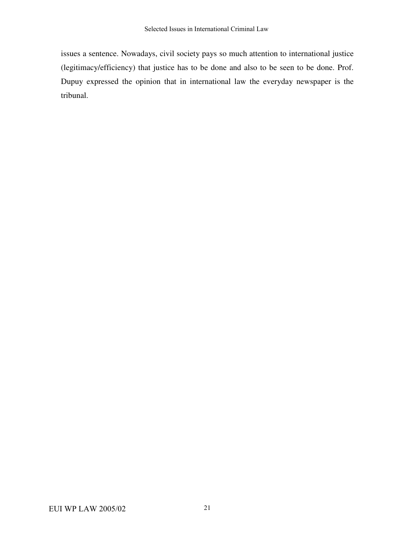issues a sentence. Nowadays, civil society pays so much attention to international justice (legitimacy/efficiency) that justice has to be done and also to be seen to be done. Prof. Dupuy expressed the opinion that in international law the everyday newspaper is the tribunal.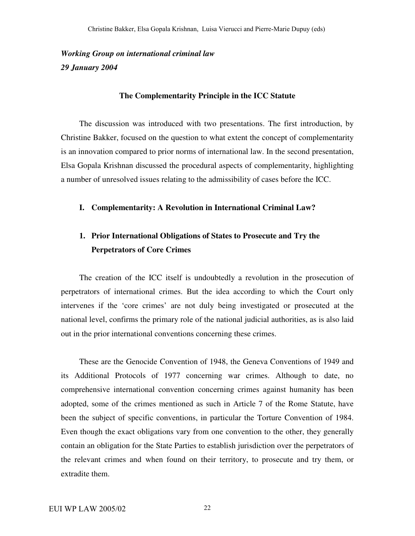## *Working Group on international criminal law 29 January 2004*

#### **The Complementarity Principle in the ICC Statute**

The discussion was introduced with two presentations. The first introduction, by Christine Bakker, focused on the question to what extent the concept of complementarity is an innovation compared to prior norms of international law. In the second presentation, Elsa Gopala Krishnan discussed the procedural aspects of complementarity, highlighting a number of unresolved issues relating to the admissibility of cases before the ICC.

#### **I. Complementarity: A Revolution in International Criminal Law?**

## **1. Prior International Obligations of States to Prosecute and Try the Perpetrators of Core Crimes**

The creation of the ICC itself is undoubtedly a revolution in the prosecution of perpetrators of international crimes. But the idea according to which the Court only intervenes if the 'core crimes' are not duly being investigated or prosecuted at the national level, confirms the primary role of the national judicial authorities, as is also laid out in the prior international conventions concerning these crimes.

These are the Genocide Convention of 1948, the Geneva Conventions of 1949 and its Additional Protocols of 1977 concerning war crimes. Although to date, no comprehensive international convention concerning crimes against humanity has been adopted, some of the crimes mentioned as such in Article 7 of the Rome Statute, have been the subject of specific conventions, in particular the Torture Convention of 1984. Even though the exact obligations vary from one convention to the other, they generally contain an obligation for the State Parties to establish jurisdiction over the perpetrators of the relevant crimes and when found on their territory, to prosecute and try them, or extradite them.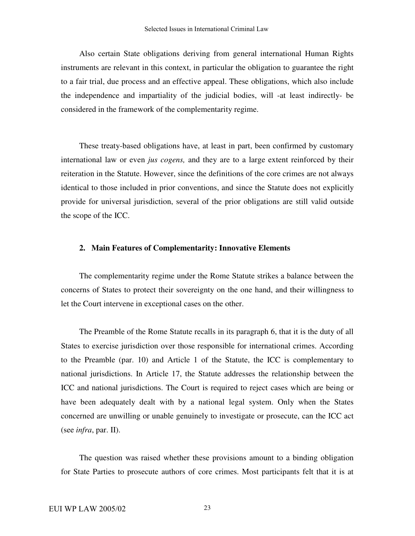Also certain State obligations deriving from general international Human Rights instruments are relevant in this context, in particular the obligation to guarantee the right to a fair trial, due process and an effective appeal. These obligations, which also include the independence and impartiality of the judicial bodies, will -at least indirectly- be considered in the framework of the complementarity regime.

These treaty-based obligations have, at least in part, been confirmed by customary international law or even *jus cogens,* and they are to a large extent reinforced by their reiteration in the Statute. However, since the definitions of the core crimes are not always identical to those included in prior conventions, and since the Statute does not explicitly provide for universal jurisdiction, several of the prior obligations are still valid outside the scope of the ICC.

#### **2. Main Features of Complementarity: Innovative Elements**

The complementarity regime under the Rome Statute strikes a balance between the concerns of States to protect their sovereignty on the one hand, and their willingness to let the Court intervene in exceptional cases on the other.

The Preamble of the Rome Statute recalls in its paragraph 6, that it is the duty of all States to exercise jurisdiction over those responsible for international crimes. According to the Preamble (par. 10) and Article 1 of the Statute, the ICC is complementary to national jurisdictions. In Article 17, the Statute addresses the relationship between the ICC and national jurisdictions. The Court is required to reject cases which are being or have been adequately dealt with by a national legal system. Only when the States concerned are unwilling or unable genuinely to investigate or prosecute, can the ICC act (see *infra*, par. II).

The question was raised whether these provisions amount to a binding obligation for State Parties to prosecute authors of core crimes. Most participants felt that it is at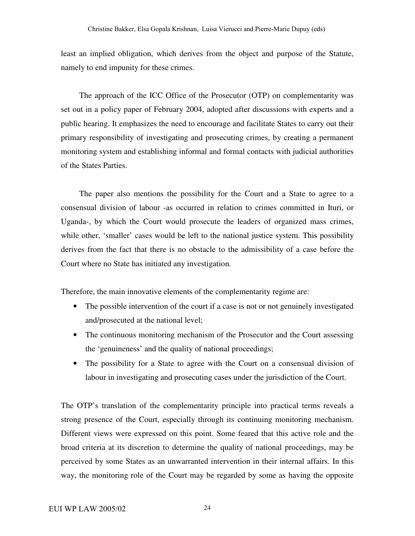least an implied obligation, which derives from the object and purpose of the Statute, namely to end impunity for these crimes.

The approach of the ICC Office of the Prosecutor (OTP) on complementarity was set out in a policy paper of February 2004, adopted after discussions with experts and a public hearing. It emphasizes the need to encourage and facilitate States to carry out their primary responsibility of investigating and prosecuting crimes, by creating a permanent monitoring system and establishing informal and formal contacts with judicial authorities of the States Parties.

The paper also mentions the possibility for the Court and a State to agree to a consensual division of labour -as occurred in relation to crimes committed in Ituri, or Uganda-, by which the Court would prosecute the leaders of organized mass crimes, while other, 'smaller' cases would be left to the national justice system. This possibility derives from the fact that there is no obstacle to the admissibility of a case before the Court where no State has initiated any investigation.

Therefore, the main innovative elements of the complementarity regime are:

- The possible intervention of the court if a case is not or not genuinely investigated and/prosecuted at the national level;
- The continuous monitoring mechanism of the Prosecutor and the Court assessing the 'genuineness' and the quality of national proceedings;
- The possibility for a State to agree with the Court on a consensual division of labour in investigating and prosecuting cases under the jurisdiction of the Court.

The OTP's translation of the complementarity principle into practical terms reveals a strong presence of the Court, especially through its continuing monitoring mechanism. Different views were expressed on this point. Some feared that this active role and the broad criteria at its discretion to determine the quality of national proceedings, may be perceived by some States as an unwarranted intervention in their internal affairs. In this way, the monitoring role of the Court may be regarded by some as having the opposite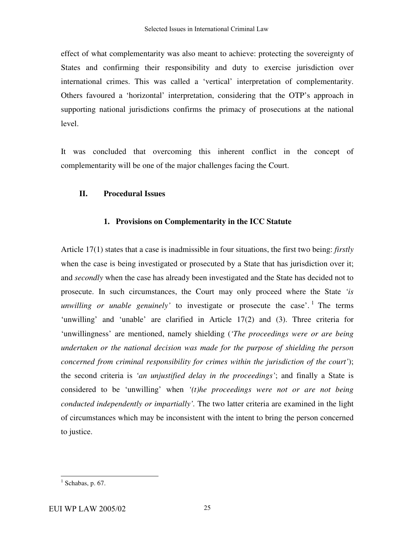effect of what complementarity was also meant to achieve: protecting the sovereignty of States and confirming their responsibility and duty to exercise jurisdiction over international crimes. This was called a 'vertical' interpretation of complementarity. Others favoured a 'horizontal' interpretation, considering that the OTP's approach in supporting national jurisdictions confirms the primacy of prosecutions at the national level.

It was concluded that overcoming this inherent conflict in the concept of complementarity will be one of the major challenges facing the Court.

### **II. Procedural Issues**

### **1. Provisions on Complementarity in the ICC Statute**

Article 17(1) states that a case is inadmissible in four situations, the first two being: *firstly* when the case is being investigated or prosecuted by a State that has jurisdiction over it; and *secondly* when the case has already been investigated and the State has decided not to prosecute. In such circumstances, the Court may only proceed where the State *'is unwilling or unable genuinely'* to investigate or prosecute the case'. 1 The terms 'unwilling' and 'unable' are clarified in Article 17(2) and (3). Three criteria for 'unwillingness' are mentioned, namely shielding (*'The proceedings were or are being undertaken or the national decision was made for the purpose of shielding the person concerned from criminal responsibility for crimes within the jurisdiction of the court'*); the second criteria is *'an unjustified delay in the proceedings'*; and finally a State is considered to be 'unwilling' when *'(t)he proceedings were not or are not being conducted independently or impartially'.* The two latter criteria are examined in the light of circumstances which may be inconsistent with the intent to bring the person concerned to justice.

 $<sup>1</sup>$  Schabas, p. 67.</sup>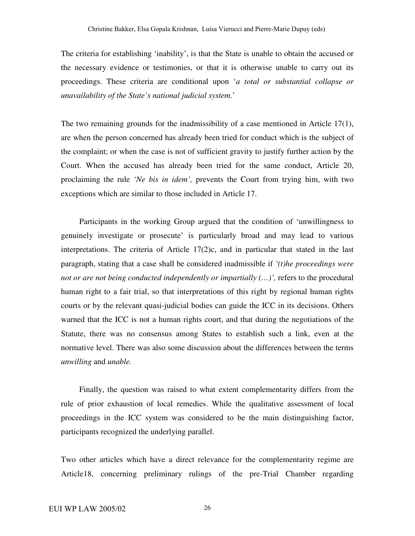The criteria for establishing 'inability', is that the State is unable to obtain the accused or the necessary evidence or testimonies, or that it is otherwise unable to carry out its proceedings. These criteria are conditional upon '*a total or substantial collapse or unavailability of the State's national judicial system*.'

The two remaining grounds for the inadmissibility of a case mentioned in Article  $17(1)$ , are when the person concerned has already been tried for conduct which is the subject of the complaint; or when the case is not of sufficient gravity to justify further action by the Court. When the accused has already been tried for the same conduct, Article 20, proclaiming the rule *'Ne bis in idem',* prevents the Court from trying him, with two exceptions which are similar to those included in Article 17.

Participants in the working Group argued that the condition of 'unwillingness to genuinely investigate or prosecute' is particularly broad and may lead to various interpretations. The criteria of Article 17(2)c, and in particular that stated in the last paragraph, stating that a case shall be considered inadmissible if *'(t)he proceedings were not or are not being conducted independently or impartially (…)',* refers to the procedural human right to a fair trial, so that interpretations of this right by regional human rights courts or by the relevant quasi-judicial bodies can guide the ICC in its decisions. Others warned that the ICC is not a human rights court, and that during the negotiations of the Statute, there was no consensus among States to establish such a link, even at the normative level. There was also some discussion about the differences between the terms *unwilling* and *unable.*

Finally, the question was raised to what extent complementarity differs from the rule of prior exhaustion of local remedies. While the qualitative assessment of local proceedings in the ICC system was considered to be the main distinguishing factor, participants recognized the underlying parallel.

Two other articles which have a direct relevance for the complementarity regime are Article18, concerning preliminary rulings of the pre-Trial Chamber regarding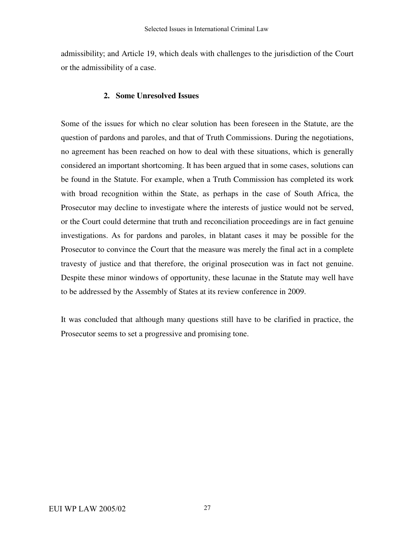admissibility; and Article 19, which deals with challenges to the jurisdiction of the Court or the admissibility of a case.

### **2. Some Unresolved Issues**

Some of the issues for which no clear solution has been foreseen in the Statute, are the question of pardons and paroles, and that of Truth Commissions. During the negotiations, no agreement has been reached on how to deal with these situations, which is generally considered an important shortcoming. It has been argued that in some cases, solutions can be found in the Statute. For example, when a Truth Commission has completed its work with broad recognition within the State, as perhaps in the case of South Africa, the Prosecutor may decline to investigate where the interests of justice would not be served, or the Court could determine that truth and reconciliation proceedings are in fact genuine investigations. As for pardons and paroles, in blatant cases it may be possible for the Prosecutor to convince the Court that the measure was merely the final act in a complete travesty of justice and that therefore, the original prosecution was in fact not genuine. Despite these minor windows of opportunity, these lacunae in the Statute may well have to be addressed by the Assembly of States at its review conference in 2009.

It was concluded that although many questions still have to be clarified in practice, the Prosecutor seems to set a progressive and promising tone.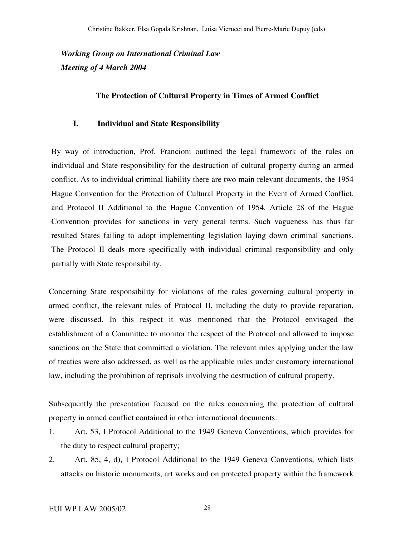*Working Group on International Criminal Law Meeting of 4 March 2004*

### **The Protection of Cultural Property in Times of Armed Conflict**

### **I. Individual and State Responsibility**

By way of introduction, Prof. Francioni outlined the legal framework of the rules on individual and State responsibility for the destruction of cultural property during an armed conflict. As to individual criminal liability there are two main relevant documents, the 1954 Hague Convention for the Protection of Cultural Property in the Event of Armed Conflict, and Protocol II Additional to the Hague Convention of 1954. Article 28 of the Hague Convention provides for sanctions in very general terms. Such vagueness has thus far resulted States failing to adopt implementing legislation laying down criminal sanctions. The Protocol II deals more specifically with individual criminal responsibility and only partially with State responsibility.

Concerning State responsibility for violations of the rules governing cultural property in armed conflict, the relevant rules of Protocol II, including the duty to provide reparation, were discussed. In this respect it was mentioned that the Protocol envisaged the establishment of a Committee to monitor the respect of the Protocol and allowed to impose sanctions on the State that committed a violation. The relevant rules applying under the law of treaties were also addressed, as well as the applicable rules under customary international law, including the prohibition of reprisals involving the destruction of cultural property.

Subsequently the presentation focused on the rules concerning the protection of cultural property in armed conflict contained in other international documents:

- 1. Art. 53, I Protocol Additional to the 1949 Geneva Conventions, which provides for the duty to respect cultural property;
- 2. Art. 85, 4, d), I Protocol Additional to the 1949 Geneva Conventions, which lists attacks on historic monuments, art works and on protected property within the framework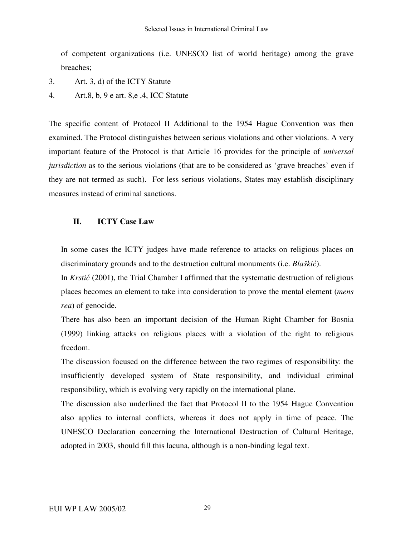of competent organizations (i.e. UNESCO list of world heritage) among the grave breaches;

3. Art. 3, d) of the ICTY Statute

4. Art.8, b, 9 e art. 8,e ,4, ICC Statute

The specific content of Protocol II Additional to the 1954 Hague Convention was then examined. The Protocol distinguishes between serious violations and other violations. A very important feature of the Protocol is that Article 16 provides for the principle of *universal jurisdiction* as to the serious violations (that are to be considered as 'grave breaches' even if they are not termed as such). For less serious violations, States may establish disciplinary measures instead of criminal sanctions.

### **II. ICTY Case Law**

In some cases the ICTY judges have made reference to attacks on religious places on discriminatory grounds and to the destruction cultural monuments (i.e. *Blaški*).

In *Krstić* (2001), the Trial Chamber I affirmed that the systematic destruction of religious places becomes an element to take into consideration to prove the mental element (*mens rea*) of genocide.

There has also been an important decision of the Human Right Chamber for Bosnia (1999) linking attacks on religious places with a violation of the right to religious freedom.

The discussion focused on the difference between the two regimes of responsibility: the insufficiently developed system of State responsibility, and individual criminal responsibility, which is evolving very rapidly on the international plane.

The discussion also underlined the fact that Protocol II to the 1954 Hague Convention also applies to internal conflicts, whereas it does not apply in time of peace. The UNESCO Declaration concerning the International Destruction of Cultural Heritage, adopted in 2003, should fill this lacuna, although is a non-binding legal text.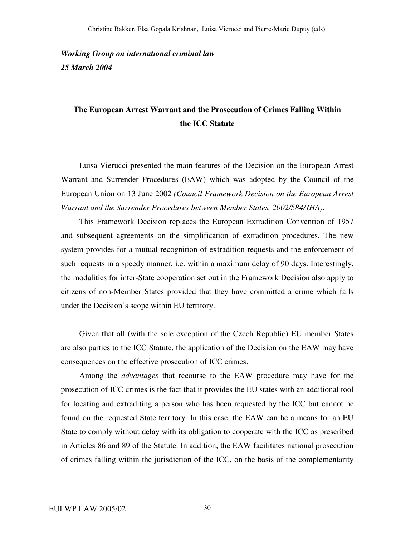*Working Group on international criminal law 25 March 2004*

## **The European Arrest Warrant and the Prosecution of Crimes Falling Within the ICC Statute**

Luisa Vierucci presented the main features of the Decision on the European Arrest Warrant and Surrender Procedures (EAW) which was adopted by the Council of the European Union on 13 June 2002 *(Council Framework Decision on the European Arrest Warrant and the Surrender Procedures between Member States, 2002/584/JHA)*.

This Framework Decision replaces the European Extradition Convention of 1957 and subsequent agreements on the simplification of extradition procedures. The new system provides for a mutual recognition of extradition requests and the enforcement of such requests in a speedy manner, i.e. within a maximum delay of 90 days. Interestingly, the modalities for inter-State cooperation set out in the Framework Decision also apply to citizens of non-Member States provided that they have committed a crime which falls under the Decision's scope within EU territory.

Given that all (with the sole exception of the Czech Republic) EU member States are also parties to the ICC Statute, the application of the Decision on the EAW may have consequences on the effective prosecution of ICC crimes.

Among the *advantages* that recourse to the EAW procedure may have for the prosecution of ICC crimes is the fact that it provides the EU states with an additional tool for locating and extraditing a person who has been requested by the ICC but cannot be found on the requested State territory. In this case, the EAW can be a means for an EU State to comply without delay with its obligation to cooperate with the ICC as prescribed in Articles 86 and 89 of the Statute. In addition, the EAW facilitates national prosecution of crimes falling within the jurisdiction of the ICC, on the basis of the complementarity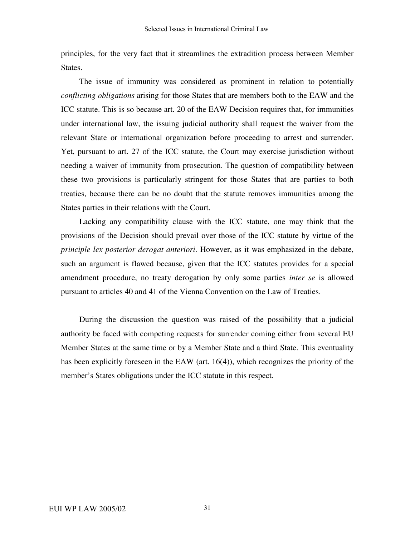principles, for the very fact that it streamlines the extradition process between Member States.

The issue of immunity was considered as prominent in relation to potentially *conflicting obligations* arising for those States that are members both to the EAW and the ICC statute. This is so because art. 20 of the EAW Decision requires that, for immunities under international law, the issuing judicial authority shall request the waiver from the relevant State or international organization before proceeding to arrest and surrender. Yet, pursuant to art. 27 of the ICC statute, the Court may exercise jurisdiction without needing a waiver of immunity from prosecution. The question of compatibility between these two provisions is particularly stringent for those States that are parties to both treaties, because there can be no doubt that the statute removes immunities among the States parties in their relations with the Court.

Lacking any compatibility clause with the ICC statute, one may think that the provisions of the Decision should prevail over those of the ICC statute by virtue of the *principle lex posterior derogat anteriori*. However, as it was emphasized in the debate, such an argument is flawed because, given that the ICC statutes provides for a special amendment procedure, no treaty derogation by only some parties *inter se* is allowed pursuant to articles 40 and 41 of the Vienna Convention on the Law of Treaties.

During the discussion the question was raised of the possibility that a judicial authority be faced with competing requests for surrender coming either from several EU Member States at the same time or by a Member State and a third State. This eventuality has been explicitly foreseen in the EAW (art. 16(4)), which recognizes the priority of the member's States obligations under the ICC statute in this respect.

31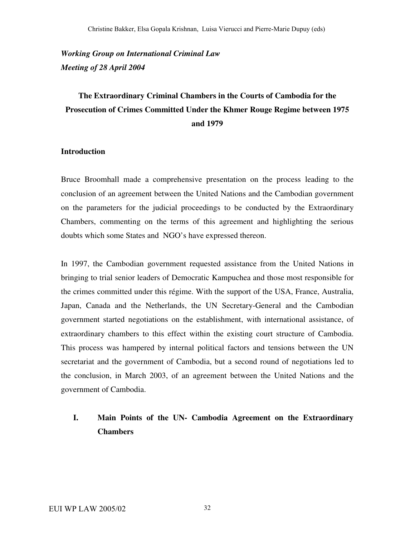*Working Group on International Criminal Law Meeting of 28 April 2004*

# **The Extraordinary Criminal Chambers in the Courts of Cambodia for the Prosecution of Crimes Committed Under the Khmer Rouge Regime between 1975 and 1979**

### **Introduction**

Bruce Broomhall made a comprehensive presentation on the process leading to the conclusion of an agreement between the United Nations and the Cambodian government on the parameters for the judicial proceedings to be conducted by the Extraordinary Chambers, commenting on the terms of this agreement and highlighting the serious doubts which some States and NGO's have expressed thereon.

In 1997, the Cambodian government requested assistance from the United Nations in bringing to trial senior leaders of Democratic Kampuchea and those most responsible for the crimes committed under this régime. With the support of the USA, France, Australia, Japan, Canada and the Netherlands, the UN Secretary-General and the Cambodian government started negotiations on the establishment, with international assistance, of extraordinary chambers to this effect within the existing court structure of Cambodia. This process was hampered by internal political factors and tensions between the UN secretariat and the government of Cambodia, but a second round of negotiations led to the conclusion, in March 2003, of an agreement between the United Nations and the government of Cambodia.

## **I. Main Points of the UN- Cambodia Agreement on the Extraordinary Chambers**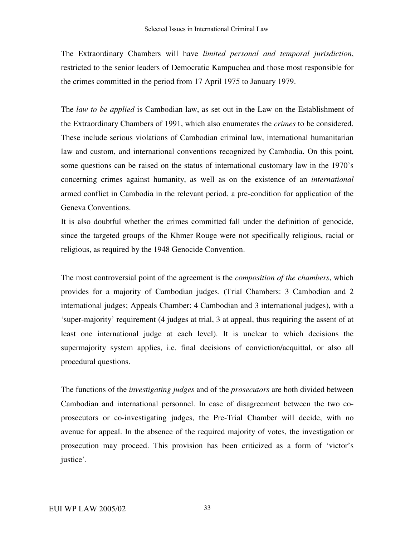The Extraordinary Chambers will have *limited personal and temporal jurisdiction*, restricted to the senior leaders of Democratic Kampuchea and those most responsible for the crimes committed in the period from 17 April 1975 to January 1979.

The *law to be applied* is Cambodian law, as set out in the Law on the Establishment of the Extraordinary Chambers of 1991, which also enumerates the *crimes* to be considered. These include serious violations of Cambodian criminal law, international humanitarian law and custom, and international conventions recognized by Cambodia. On this point, some questions can be raised on the status of international customary law in the 1970's concerning crimes against humanity, as well as on the existence of an *international* armed conflict in Cambodia in the relevant period, a pre-condition for application of the Geneva Conventions.

It is also doubtful whether the crimes committed fall under the definition of genocide, since the targeted groups of the Khmer Rouge were not specifically religious, racial or religious, as required by the 1948 Genocide Convention.

The most controversial point of the agreement is the *composition of the chambers*, which provides for a majority of Cambodian judges. (Trial Chambers: 3 Cambodian and 2 international judges; Appeals Chamber: 4 Cambodian and 3 international judges), with a 'super-majority' requirement (4 judges at trial, 3 at appeal, thus requiring the assent of at least one international judge at each level). It is unclear to which decisions the supermajority system applies, i.e. final decisions of conviction/acquittal, or also all procedural questions.

The functions of the *investigating judges* and of the *prosecutors* are both divided between Cambodian and international personnel. In case of disagreement between the two coprosecutors or co-investigating judges, the Pre-Trial Chamber will decide, with no avenue for appeal. In the absence of the required majority of votes, the investigation or prosecution may proceed. This provision has been criticized as a form of 'victor's justice'.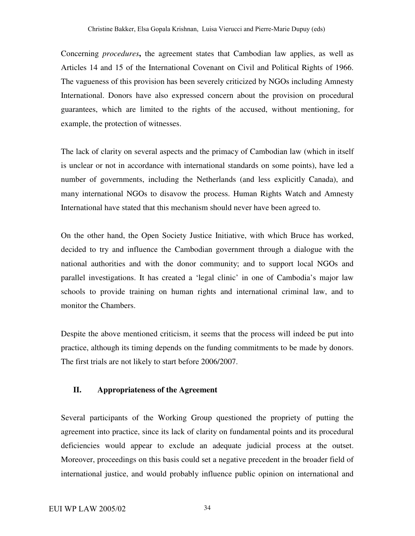Concerning *procedures***,** the agreement states that Cambodian law applies, as well as Articles 14 and 15 of the International Covenant on Civil and Political Rights of 1966. The vagueness of this provision has been severely criticized by NGOs including Amnesty International. Donors have also expressed concern about the provision on procedural guarantees, which are limited to the rights of the accused, without mentioning, for example, the protection of witnesses.

The lack of clarity on several aspects and the primacy of Cambodian law (which in itself is unclear or not in accordance with international standards on some points), have led a number of governments, including the Netherlands (and less explicitly Canada), and many international NGOs to disavow the process. Human Rights Watch and Amnesty International have stated that this mechanism should never have been agreed to.

On the other hand, the Open Society Justice Initiative, with which Bruce has worked, decided to try and influence the Cambodian government through a dialogue with the national authorities and with the donor community; and to support local NGOs and parallel investigations. It has created a 'legal clinic' in one of Cambodia's major law schools to provide training on human rights and international criminal law, and to monitor the Chambers.

Despite the above mentioned criticism, it seems that the process will indeed be put into practice, although its timing depends on the funding commitments to be made by donors. The first trials are not likely to start before 2006/2007.

### **II. Appropriateness of the Agreement**

Several participants of the Working Group questioned the propriety of putting the agreement into practice, since its lack of clarity on fundamental points and its procedural deficiencies would appear to exclude an adequate judicial process at the outset. Moreover, proceedings on this basis could set a negative precedent in the broader field of international justice, and would probably influence public opinion on international and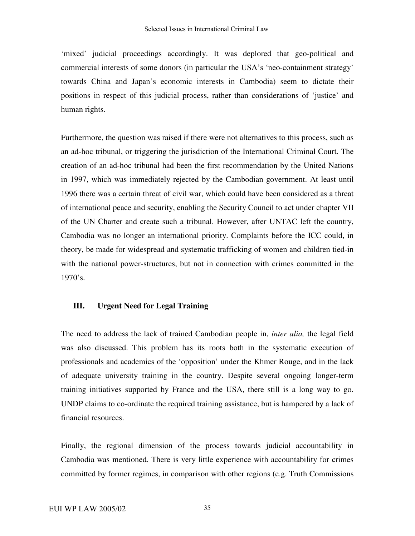'mixed' judicial proceedings accordingly. It was deplored that geo-political and commercial interests of some donors (in particular the USA's 'neo-containment strategy' towards China and Japan's economic interests in Cambodia) seem to dictate their positions in respect of this judicial process, rather than considerations of 'justice' and human rights.

Furthermore, the question was raised if there were not alternatives to this process, such as an ad-hoc tribunal, or triggering the jurisdiction of the International Criminal Court. The creation of an ad-hoc tribunal had been the first recommendation by the United Nations in 1997, which was immediately rejected by the Cambodian government. At least until 1996 there was a certain threat of civil war, which could have been considered as a threat of international peace and security, enabling the Security Council to act under chapter VII of the UN Charter and create such a tribunal. However, after UNTAC left the country, Cambodia was no longer an international priority. Complaints before the ICC could, in theory, be made for widespread and systematic trafficking of women and children tied-in with the national power-structures, but not in connection with crimes committed in the  $1970's.$ 

### **III. Urgent Need for Legal Training**

The need to address the lack of trained Cambodian people in, *inter alia,* the legal field was also discussed. This problem has its roots both in the systematic execution of professionals and academics of the 'opposition' under the Khmer Rouge, and in the lack of adequate university training in the country. Despite several ongoing longer-term training initiatives supported by France and the USA, there still is a long way to go. UNDP claims to co-ordinate the required training assistance, but is hampered by a lack of financial resources.

Finally, the regional dimension of the process towards judicial accountability in Cambodia was mentioned. There is very little experience with accountability for crimes committed by former regimes, in comparison with other regions (e.g. Truth Commissions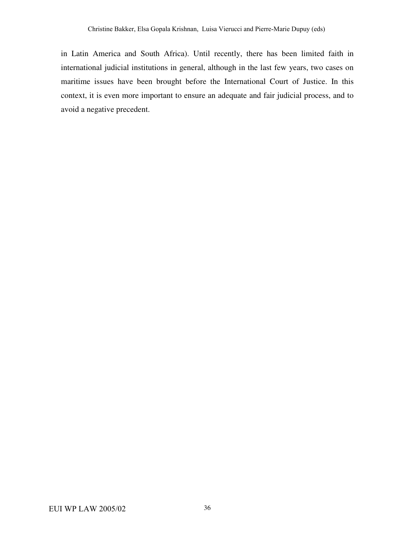in Latin America and South Africa). Until recently, there has been limited faith in international judicial institutions in general, although in the last few years, two cases on maritime issues have been brought before the International Court of Justice. In this context, it is even more important to ensure an adequate and fair judicial process, and to avoid a negative precedent.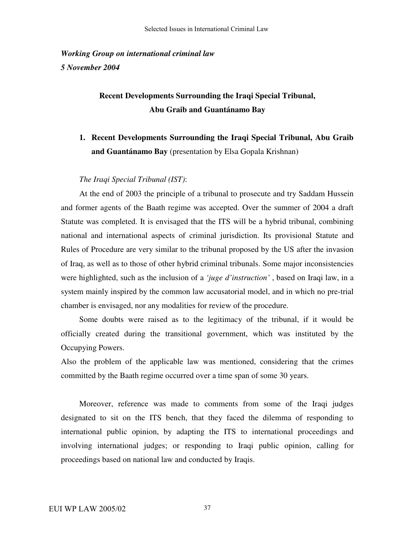*Working Group on international criminal law 5 November 2004*

## **Recent Developments Surrounding the Iraqi Special Tribunal, Abu Graib and Guantánamo Bay**

## **1. Recent Developments Surrounding the Iraqi Special Tribunal, Abu Graib and Guantánamo Bay** (presentation by Elsa Gopala Krishnan)

### *The Iraqi Special Tribunal (IST)*:

At the end of 2003 the principle of a tribunal to prosecute and try Saddam Hussein and former agents of the Baath regime was accepted. Over the summer of 2004 a draft Statute was completed. It is envisaged that the ITS will be a hybrid tribunal, combining national and international aspects of criminal jurisdiction. Its provisional Statute and Rules of Procedure are very similar to the tribunal proposed by the US after the invasion of Iraq, as well as to those of other hybrid criminal tribunals. Some major inconsistencies were highlighted, such as the inclusion of a *'juge d'instruction'* , based on Iraqi law, in a system mainly inspired by the common law accusatorial model, and in which no pre-trial chamber is envisaged, nor any modalities for review of the procedure.

Some doubts were raised as to the legitimacy of the tribunal, if it would be officially created during the transitional government, which was instituted by the Occupying Powers.

Also the problem of the applicable law was mentioned, considering that the crimes committed by the Baath regime occurred over a time span of some 30 years.

Moreover, reference was made to comments from some of the Iraqi judges designated to sit on the ITS bench, that they faced the dilemma of responding to international public opinion, by adapting the ITS to international proceedings and involving international judges; or responding to Iraqi public opinion, calling for proceedings based on national law and conducted by Iraqis.